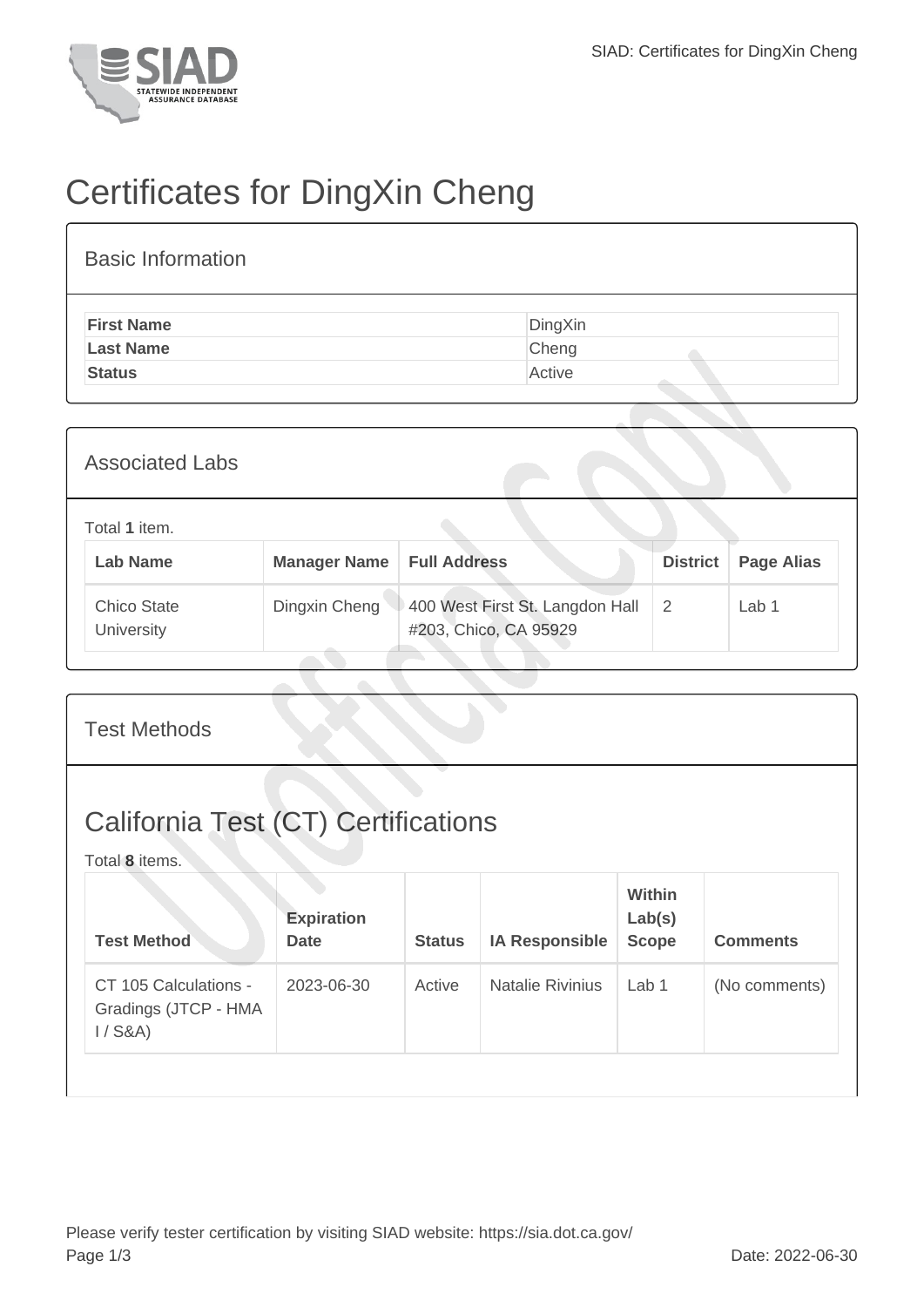

## Certificates for DingXin Cheng

| <b>Basic Information</b> |         |
|--------------------------|---------|
| <b>First Name</b>        | DingXin |
| <b>Last Name</b>         | Cheng   |
| <b>Status</b>            | Active  |

| <b>Associated Labs</b>           |                     |                                                          |                 |                   |
|----------------------------------|---------------------|----------------------------------------------------------|-----------------|-------------------|
| Total 1 item.<br><b>Lab Name</b> | <b>Manager Name</b> | <b>Full Address</b>                                      | <b>District</b> | <b>Page Alias</b> |
| <b>Chico State</b><br>University | Dingxin Cheng       | 400 West First St. Langdon Hall<br>#203, Chico, CA 95929 | 2               | Lab 1             |

| <b>Test Methods</b>                                          |                                  |               |                         |                                  |                 |
|--------------------------------------------------------------|----------------------------------|---------------|-------------------------|----------------------------------|-----------------|
| <b>California Test (CT) Certifications</b><br>Total 8 items. |                                  |               |                         |                                  |                 |
| <b>Test Method</b>                                           | <b>Expiration</b><br><b>Date</b> | <b>Status</b> | <b>IA Responsible</b>   | Within<br>Lab(s)<br><b>Scope</b> | <b>Comments</b> |
| CT 105 Calculations -<br>Gradings (JTCP - HMA<br>$1/$ S&A)   | 2023-06-30                       | Active        | <b>Natalie Rivinius</b> | Lab <sub>1</sub>                 | (No comments)   |
|                                                              |                                  |               |                         |                                  |                 |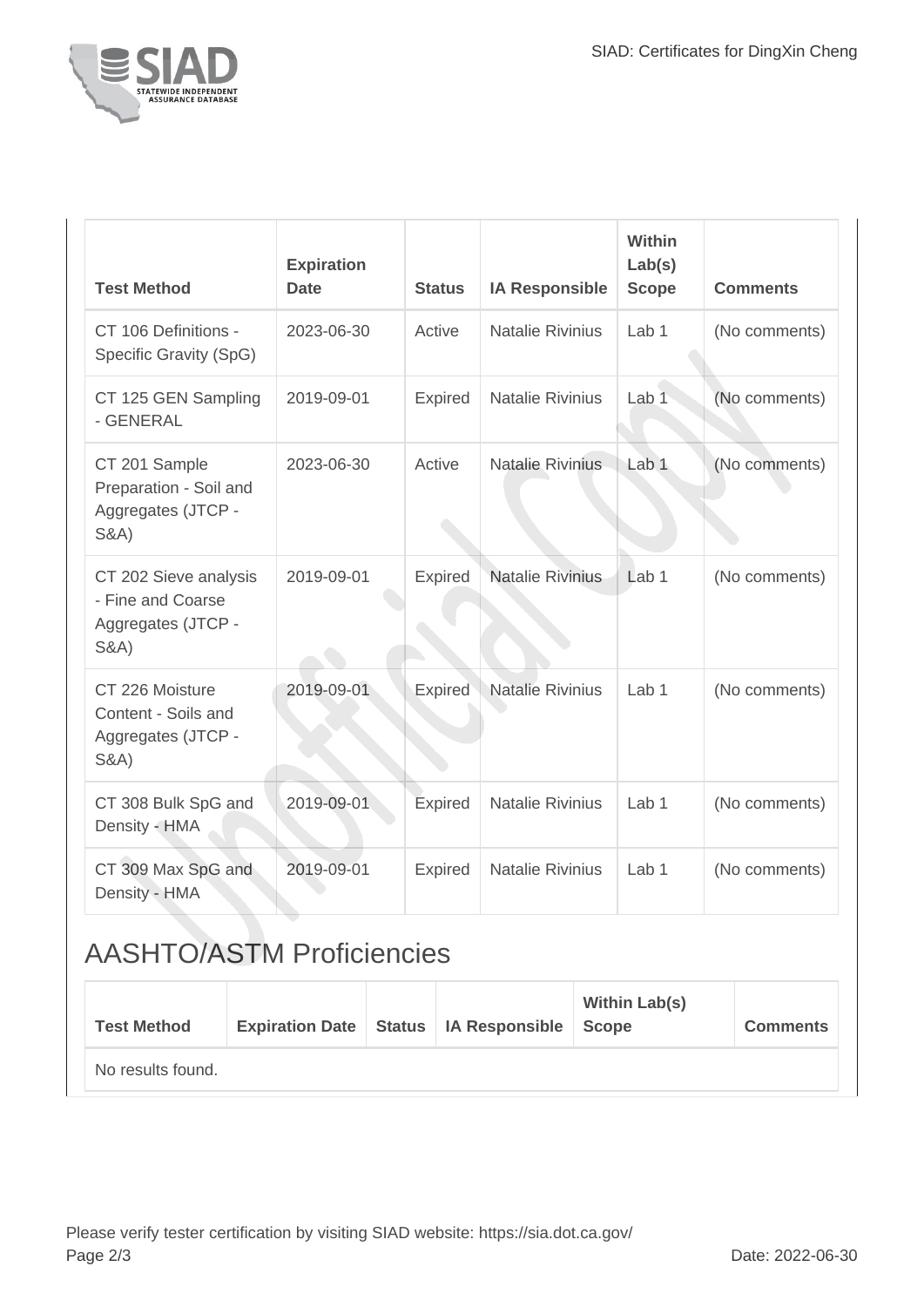

| <b>Test Method</b>                                                                  | <b>Expiration</b><br><b>Date</b> | <b>Status</b>  | <b>IA Responsible</b>   | Within<br>Lab(s)<br><b>Scope</b> | <b>Comments</b> |
|-------------------------------------------------------------------------------------|----------------------------------|----------------|-------------------------|----------------------------------|-----------------|
| CT 106 Definitions -<br>Specific Gravity (SpG)                                      | 2023-06-30                       | Active         | <b>Natalie Rivinius</b> | Lab 1                            | (No comments)   |
| CT 125 GEN Sampling<br>- GENERAL                                                    | 2019-09-01                       | <b>Expired</b> | <b>Natalie Rivinius</b> | Lab <sub>1</sub>                 | (No comments)   |
| CT 201 Sample<br>Preparation - Soil and<br>Aggregates (JTCP -<br><b>S&amp;A)</b>    | 2023-06-30                       | Active         | <b>Natalie Rivinius</b> | Lab <sub>1</sub>                 | (No comments)   |
| CT 202 Sieve analysis<br>- Fine and Coarse<br>Aggregates (JTCP -<br><b>S&amp;A)</b> | 2019-09-01                       | Expired        | <b>Natalie Rivinius</b> | Lab <sub>1</sub>                 | (No comments)   |
| CT 226 Moisture<br>Content - Soils and<br>Aggregates (JTCP -<br><b>S&amp;A)</b>     | 2019-09-01                       | <b>Expired</b> | <b>Natalie Rivinius</b> | Lab <sub>1</sub>                 | (No comments)   |
| CT 308 Bulk SpG and<br>Density - HMA                                                | 2019-09-01                       | Expired        | <b>Natalie Rivinius</b> | Lab 1                            | (No comments)   |
| CT 309 Max SpG and<br>Density - HMA                                                 | 2019-09-01                       | Expired        | <b>Natalie Rivinius</b> | Lab <sub>1</sub>                 | (No comments)   |

## AASHTO/ASTM Proficiencies

| <b>Test Method</b> | <b>Expiration Date</b> | Status   IA Responsible   Scope | <b>Within Lab(s)</b> | <b>Comments</b> |
|--------------------|------------------------|---------------------------------|----------------------|-----------------|
| No results found.  |                        |                                 |                      |                 |